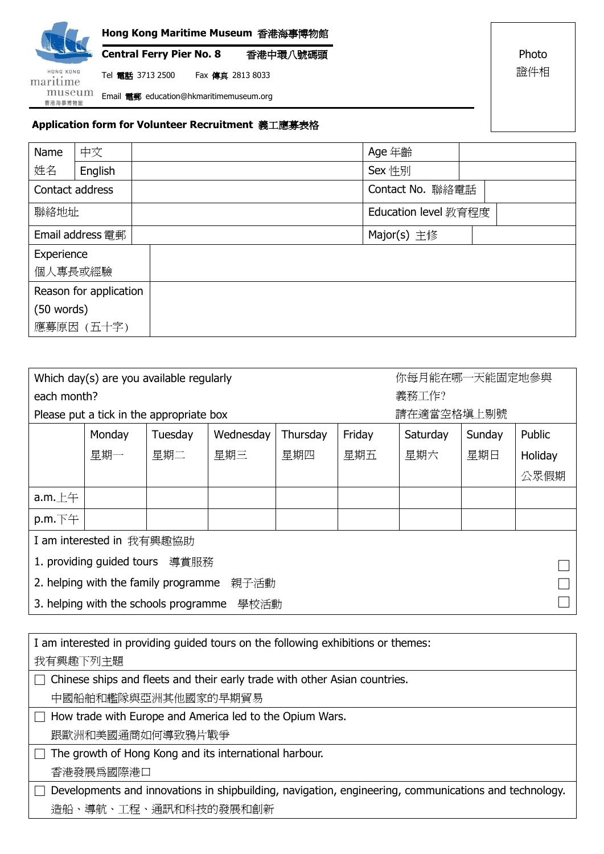

Photo

證件相

## **Application form for Volunteer Recruitment** 義工應募表格

| Name                   | 中文         | Age 年齡               |  |
|------------------------|------------|----------------------|--|
| 姓名                     | English    | Sex 性別               |  |
| Contact address        |            | Contact No. 聯絡電話     |  |
| 聯絡地址                   |            | Education level 教育程度 |  |
| Email address 電郵       |            | Major(s) 主修          |  |
| Experience             |            |                      |  |
| 個人專長或經驗                |            |                      |  |
| Reason for application |            |                      |  |
| $(50$ words)           |            |                      |  |
|                        | 應募原因 (五十字) |                      |  |

| 你每月能在哪一天能固定地參與<br>Which day(s) are you available regularly |        |         |           |          |        |            |        |         |  |
|------------------------------------------------------------|--------|---------|-----------|----------|--------|------------|--------|---------|--|
| each month?                                                |        |         |           |          |        | 義務工作?      |        |         |  |
| Please put a tick in the appropriate box                   |        |         |           |          |        | 請在適當空格填上剔號 |        |         |  |
|                                                            | Monday | Tuesday | Wednesday | Thursday | Friday | Saturday   | Sunday | Public  |  |
|                                                            | 星期一    | 星期二     | 星期三       | 星期四      | 星期五    | 星期六        | 星期日    | Holiday |  |
|                                                            |        |         |           |          |        |            |        | 公眾假期    |  |
| a.m. $E$ 午                                                 |        |         |           |          |        |            |        |         |  |
| $p.m.\top \pm 1$                                           |        |         |           |          |        |            |        |         |  |
| I am interested in 我有興趣協助                                  |        |         |           |          |        |            |        |         |  |
| 1. providing guided tours<br>導賞服務                          |        |         |           |          |        |            |        |         |  |
| 2. helping with the family programme<br>親子活動               |        |         |           |          |        |            |        |         |  |
| 3. helping with the schools programme<br>學校活動              |        |         |           |          |        |            |        |         |  |

| I am interested in providing guided tours on the following exhibitions or themes:                     |  |  |  |  |
|-------------------------------------------------------------------------------------------------------|--|--|--|--|
| 我有興趣下列主題                                                                                              |  |  |  |  |
| Chinese ships and fleets and their early trade with other Asian countries.<br>$\Box$                  |  |  |  |  |
| 中國船舶和艦隊與亞洲其他國家的早期貿易                                                                                   |  |  |  |  |
| How trade with Europe and America led to the Opium Wars.<br>I.                                        |  |  |  |  |
| 跟歐洲和美國通商如何導致鴉片戰爭                                                                                      |  |  |  |  |
| The growth of Hong Kong and its international harbour.                                                |  |  |  |  |
| 香港發展爲國際港口                                                                                             |  |  |  |  |
| Developments and innovations in shipbuilding, navigation, engineering, communications and technology. |  |  |  |  |
| 造船、導航、工程、通訊和科技的發展和創新                                                                                  |  |  |  |  |